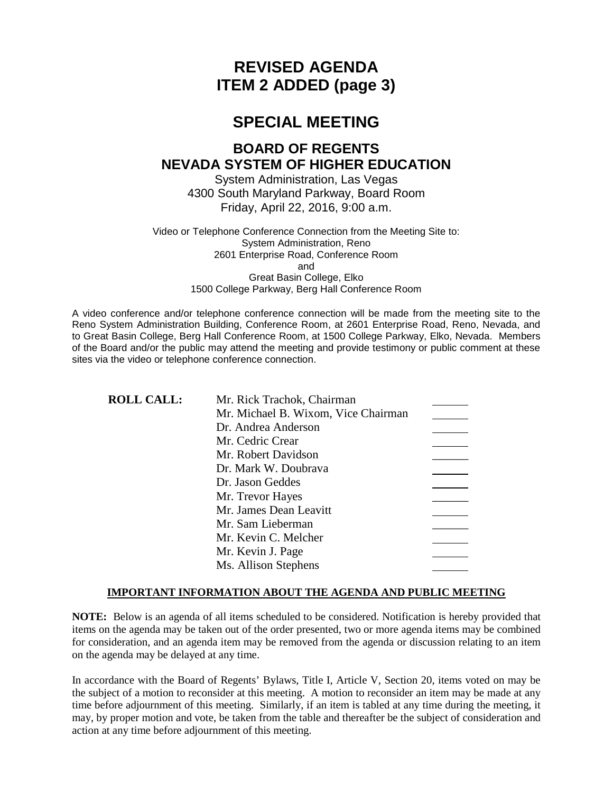# **REVISED AGENDA ITEM 2 ADDED (page 3)**

# **SPECIAL MEETING**

# **BOARD OF REGENTS NEVADA SYSTEM OF HIGHER EDUCATION**

System Administration, Las Vegas 4300 South Maryland Parkway, Board Room Friday, April 22, 2016, 9:00 a.m.

Video or Telephone Conference Connection from the Meeting Site to: System Administration, Reno 2601 Enterprise Road, Conference Room and Great Basin College, Elko 1500 College Parkway, Berg Hall Conference Room

A video conference and/or telephone conference connection will be made from the meeting site to the Reno System Administration Building, Conference Room, at 2601 Enterprise Road, Reno, Nevada, and to Great Basin College, Berg Hall Conference Room, at 1500 College Parkway, Elko, Nevada. Members of the Board and/or the public may attend the meeting and provide testimony or public comment at these sites via the video or telephone conference connection.

| <b>ROLL CALL:</b> | Mr. Rick Trachok, Chairman          |  |
|-------------------|-------------------------------------|--|
|                   | Mr. Michael B. Wixom, Vice Chairman |  |
|                   | Dr. Andrea Anderson                 |  |
|                   | Mr. Cedric Crear                    |  |
|                   | Mr. Robert Davidson                 |  |
|                   | Dr. Mark W. Doubrava                |  |
|                   | Dr. Jason Geddes                    |  |
|                   | Mr. Trevor Hayes                    |  |
|                   | Mr. James Dean Leavitt              |  |
|                   | Mr. Sam Lieberman                   |  |
|                   | Mr. Kevin C. Melcher                |  |
|                   | Mr. Kevin J. Page                   |  |
|                   | Ms. Allison Stephens                |  |

#### **IMPORTANT INFORMATION ABOUT THE AGENDA AND PUBLIC MEETING**

**NOTE:** Below is an agenda of all items scheduled to be considered. Notification is hereby provided that items on the agenda may be taken out of the order presented, two or more agenda items may be combined for consideration, and an agenda item may be removed from the agenda or discussion relating to an item on the agenda may be delayed at any time.

In accordance with the Board of Regents' Bylaws, Title I, Article V, Section 20, items voted on may be the subject of a motion to reconsider at this meeting. A motion to reconsider an item may be made at any time before adjournment of this meeting. Similarly, if an item is tabled at any time during the meeting, it may, by proper motion and vote, be taken from the table and thereafter be the subject of consideration and action at any time before adjournment of this meeting.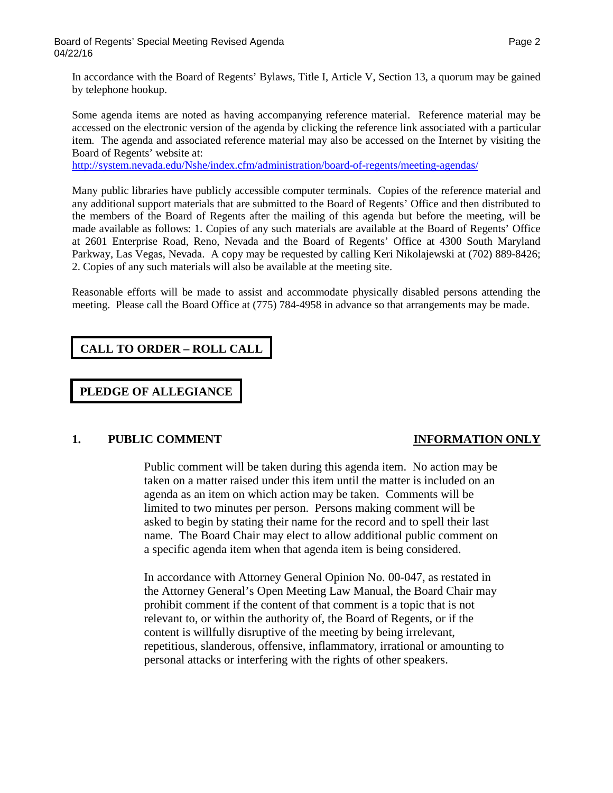In accordance with the Board of Regents' Bylaws, Title I, Article V, Section 13, a quorum may be gained by telephone hookup.

Some agenda items are noted as having accompanying reference material. Reference material may be accessed on the electronic version of the agenda by clicking the reference link associated with a particular item. The agenda and associated reference material may also be accessed on the Internet by visiting the Board of Regents' website at:

<http://system.nevada.edu/Nshe/index.cfm/administration/board-of-regents/meeting-agendas/>

Many public libraries have publicly accessible computer terminals. Copies of the reference material and any additional support materials that are submitted to the Board of Regents' Office and then distributed to the members of the Board of Regents after the mailing of this agenda but before the meeting, will be made available as follows: 1. Copies of any such materials are available at the Board of Regents' Office at 2601 Enterprise Road, Reno, Nevada and the Board of Regents' Office at 4300 South Maryland Parkway, Las Vegas, Nevada. A copy may be requested by calling Keri Nikolajewski at (702) 889-8426; 2. Copies of any such materials will also be available at the meeting site.

Reasonable efforts will be made to assist and accommodate physically disabled persons attending the meeting. Please call the Board Office at (775) 784-4958 in advance so that arrangements may be made.

## **CALL TO ORDER – ROLL CALL**

**PLEDGE OF ALLEGIANCE**

### **1. PUBLIC COMMENT INFORMATION ONLY**

Public comment will be taken during this agenda item. No action may be taken on a matter raised under this item until the matter is included on an agenda as an item on which action may be taken. Comments will be limited to two minutes per person. Persons making comment will be asked to begin by stating their name for the record and to spell their last name. The Board Chair may elect to allow additional public comment on a specific agenda item when that agenda item is being considered.

In accordance with Attorney General Opinion No. 00-047, as restated in the Attorney General's Open Meeting Law Manual, the Board Chair may prohibit comment if the content of that comment is a topic that is not relevant to, or within the authority of, the Board of Regents, or if the content is willfully disruptive of the meeting by being irrelevant, repetitious, slanderous, offensive, inflammatory, irrational or amounting to personal attacks or interfering with the rights of other speakers.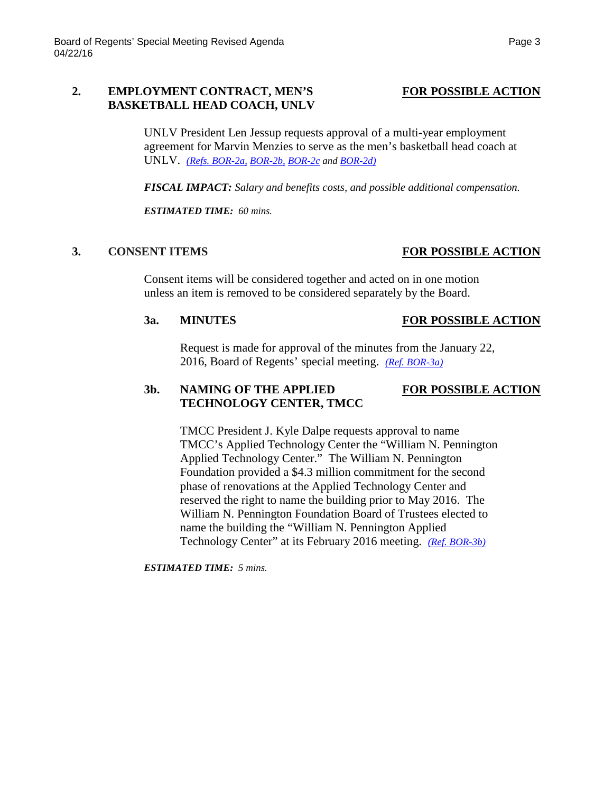#### 2. **EMPLOYMENT CONTRACT, MEN'S** FOR POSSIBLE ACTION **BASKETBALL HEAD COACH, UNLV**

UNLV President Len Jessup requests approval of a multi-year employment agreement for Marvin Menzies to serve as the men's basketball head coach at UNLV. *[\(Refs. BOR-2a,](http://system.nevada.edu/tasks/sites/Nshe/assets/File/BoardOfRegents/Agendas/2016/apr-mtgs/bor-refs-revised/BOR-2a.pdf) [BOR-2b,](http://system.nevada.edu/tasks/sites/Nshe/assets/File/BoardOfRegents/Agendas/2016/apr-mtgs/bor-refs-revised/BOR-2b.pdf) [BOR-2c](http://system.nevada.edu/tasks/sites/Nshe/assets/File/BoardOfRegents/Agendas/2016/apr-mtgs/bor-refs-revised/BOR-2c.pdf) an[d BOR-2d\)](http://system.nevada.edu/tasks/sites/Nshe/assets/File/BoardOfRegents/Agendas/2016/apr-mtgs/bor-refs-revised/BOR-2d.pdf)*

*FISCAL IMPACT: Salary and benefits costs, and possible additional compensation.*

*ESTIMATED TIME: 60 mins.*

### **3. CONSENT ITEMS FOR POSSIBLE ACTION**

Consent items will be considered together and acted on in one motion unless an item is removed to be considered separately by the Board.

#### **3a. MINUTES FOR POSSIBLE ACTION**

Request is made for approval of the minutes from the January 22, 2016, Board of Regents' special meeting. *[\(Ref. BOR-3a\)](http://system.nevada.edu/tasks/sites/Nshe/assets/File/BoardOfRegents/Agendas/2016/apr-mtgs/bor-refs-revised/BOR-3a.pdf)*

### **3b. NAMING OF THE APPLIED FOR POSSIBLE ACTION TECHNOLOGY CENTER, TMCC**

TMCC President J. Kyle Dalpe requests approval to name TMCC's Applied Technology Center the "William N. Pennington Applied Technology Center." The William N. Pennington Foundation provided a \$4.3 million commitment for the second phase of renovations at the Applied Technology Center and reserved the right to name the building prior to May 2016. The William N. Pennington Foundation Board of Trustees elected to name the building the "William N. Pennington Applied Technology Center" at its February 2016 meeting. *[\(Ref. BOR-3b\)](http://system.nevada.edu/tasks/sites/Nshe/assets/File/BoardOfRegents/Agendas/2016/apr-mtgs/bor-refs-revised/BOR-3b.pdf)*

*ESTIMATED TIME: 5 mins.*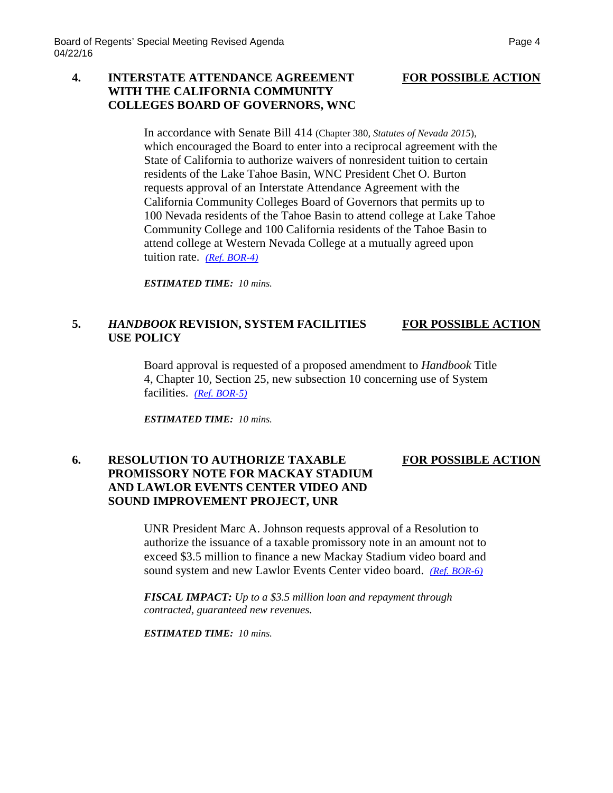### **4. INTERSTATE ATTENDANCE AGREEMENT FOR POSSIBLE ACTION WITH THE CALIFORNIA COMMUNITY COLLEGES BOARD OF GOVERNORS, WNC**

In accordance with Senate Bill 414 (Chapter 380, *Statutes of Nevada 2015*), which encouraged the Board to enter into a reciprocal agreement with the State of California to authorize waivers of nonresident tuition to certain residents of the Lake Tahoe Basin, WNC President Chet O. Burton requests approval of an Interstate Attendance Agreement with the California Community Colleges Board of Governors that permits up to 100 Nevada residents of the Tahoe Basin to attend college at Lake Tahoe Community College and 100 California residents of the Tahoe Basin to attend college at Western Nevada College at a mutually agreed upon tuition rate. *[\(Ref. BOR-4\)](http://system.nevada.edu/tasks/sites/Nshe/assets/File/BoardOfRegents/Agendas/2016/apr-mtgs/bor-refs-revised/BOR-4.pdf)*

*ESTIMATED TIME: 10 mins.*

### **5.** *HANDBOOK* **REVISION, SYSTEM FACILITIES FOR POSSIBLE ACTION USE POLICY**

Board approval is requested of a proposed amendment to *Handbook* Title 4, Chapter 10, Section 25, new subsection 10 concerning use of System facilities. *[\(Ref. BOR-5\)](http://system.nevada.edu/tasks/sites/Nshe/assets/File/BoardOfRegents/Agendas/2016/apr-mtgs/bor-refs-revised/BOR-5.pdf)*

*ESTIMATED TIME: 10 mins.*

### **6. RESOLUTION TO AUTHORIZE TAXABLE FOR POSSIBLE ACTION PROMISSORY NOTE FOR MACKAY STADIUM AND LAWLOR EVENTS CENTER VIDEO AND SOUND IMPROVEMENT PROJECT, UNR**

UNR President Marc A. Johnson requests approval of a Resolution to authorize the issuance of a taxable promissory note in an amount not to exceed \$3.5 million to finance a new Mackay Stadium video board and sound system and new Lawlor Events Center video board. *[\(Ref. BOR-6\)](http://system.nevada.edu/tasks/sites/Nshe/assets/File/BoardOfRegents/Agendas/2016/apr-mtgs/bor-refs-revised/BOR-6.pdf)*

*FISCAL IMPACT: Up to a \$3.5 million loan and repayment through contracted, guaranteed new revenues.*

*ESTIMATED TIME: 10 mins.*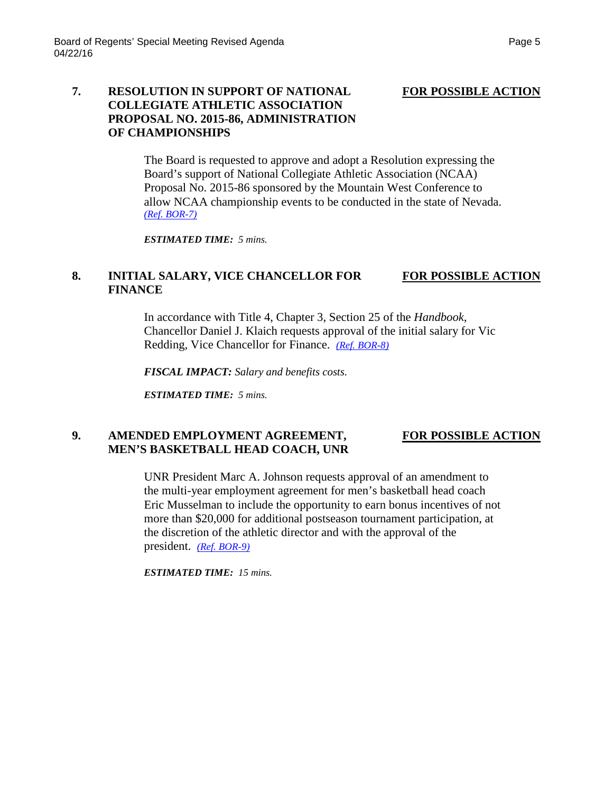### **7. RESOLUTION IN SUPPORT OF NATIONAL FOR POSSIBLE ACTION COLLEGIATE ATHLETIC ASSOCIATION PROPOSAL NO. 2015-86, ADMINISTRATION OF CHAMPIONSHIPS**

The Board is requested to approve and adopt a Resolution expressing the Board's support of National Collegiate Athletic Association (NCAA) Proposal No. 2015-86 sponsored by the Mountain West Conference to allow NCAA championship events to be conducted in the state of Nevada. *[\(Ref. BOR-7\)](http://system.nevada.edu/tasks/sites/Nshe/assets/File/BoardOfRegents/Agendas/2016/apr-mtgs/bor-refs-revised/BOR-7.pdf)*

*ESTIMATED TIME: 5 mins.*

### **8. INITIAL SALARY, VICE CHANCELLOR FOR FOR POSSIBLE ACTION FINANCE**

In accordance with Title 4, Chapter 3, Section 25 of the *Handbook*, Chancellor Daniel J. Klaich requests approval of the initial salary for Vic Redding, Vice Chancellor for Finance. *[\(Ref. BOR-8\)](http://system.nevada.edu/tasks/sites/Nshe/assets/File/BoardOfRegents/Agendas/2016/apr-mtgs/bor-refs-revised/BOR-8.pdf)*

*FISCAL IMPACT: Salary and benefits costs.*

*ESTIMATED TIME: 5 mins.*

### 9. AMENDED EMPLOYMENT AGREEMENT, FOR POSSIBLE ACTION **MEN'S BASKETBALL HEAD COACH, UNR**

UNR President Marc A. Johnson requests approval of an amendment to the multi-year employment agreement for men's basketball head coach Eric Musselman to include the opportunity to earn bonus incentives of not more than \$20,000 for additional postseason tournament participation, at the discretion of the athletic director and with the approval of the president. *[\(Ref. BOR-9\)](http://system.nevada.edu/tasks/sites/Nshe/assets/File/BoardOfRegents/Agendas/2016/apr-mtgs/bor-refs-revised/BOR-9.pdf)*

*ESTIMATED TIME: 15 mins.*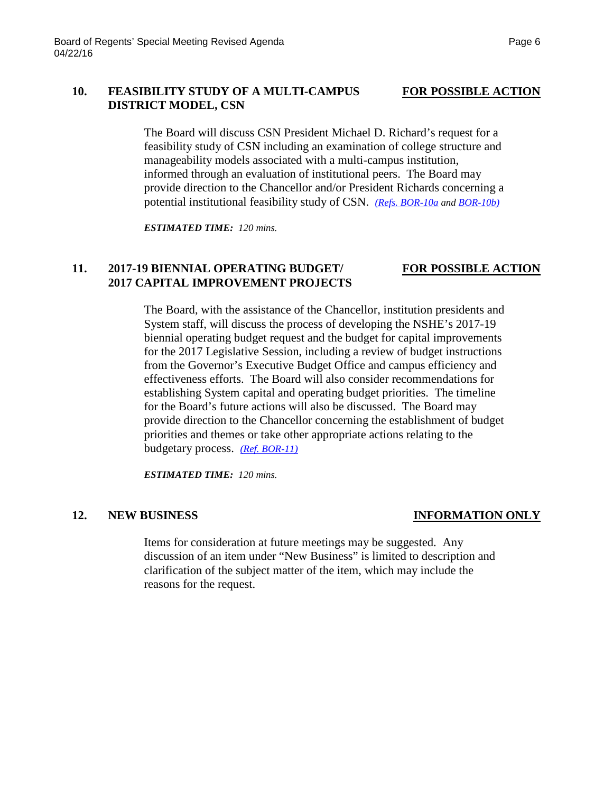### 10. **FEASIBILITY STUDY OF A MULTI-CAMPUS** FOR POSSIBLE ACTION **DISTRICT MODEL, CSN**

The Board will discuss CSN President Michael D. Richard's request for a feasibility study of CSN including an examination of college structure and manageability models associated with a multi-campus institution, informed through an evaluation of institutional peers. The Board may provide direction to the Chancellor and/or President Richards concerning a potential institutional feasibility study of CSN. *[\(Refs. BOR-10a](http://system.nevada.edu/tasks/sites/Nshe/assets/File/BoardOfRegents/Agendas/2016/apr-mtgs/bor-refs-revised/BOR-10a.pdf) and [BOR-10b\)](http://system.nevada.edu/tasks/sites/Nshe/assets/File/BoardOfRegents/Agendas/2016/apr-mtgs/bor-refs-revised/BOR-10b.pdf)*

*ESTIMATED TIME: 120 mins.*

## **11. 2017-19 BIENNIAL OPERATING BUDGET/ FOR POSSIBLE ACTION 2017 CAPITAL IMPROVEMENT PROJECTS**

The Board, with the assistance of the Chancellor, institution presidents and System staff, will discuss the process of developing the NSHE's 2017-19 biennial operating budget request and the budget for capital improvements for the 2017 Legislative Session, including a review of budget instructions from the Governor's Executive Budget Office and campus efficiency and effectiveness efforts. The Board will also consider recommendations for establishing System capital and operating budget priorities. The timeline for the Board's future actions will also be discussed. The Board may provide direction to the Chancellor concerning the establishment of budget priorities and themes or take other appropriate actions relating to the budgetary process. *[\(Ref. BOR-11\)](http://system.nevada.edu/tasks/sites/Nshe/assets/File/BoardOfRegents/Agendas/2016/apr-mtgs/bor-refs-revised/BOR-11.pdf)*

*ESTIMATED TIME: 120 mins.*

### **12. NEW BUSINESS INFORMATION ONLY**

Items for consideration at future meetings may be suggested. Any discussion of an item under "New Business" is limited to description and clarification of the subject matter of the item, which may include the reasons for the request.